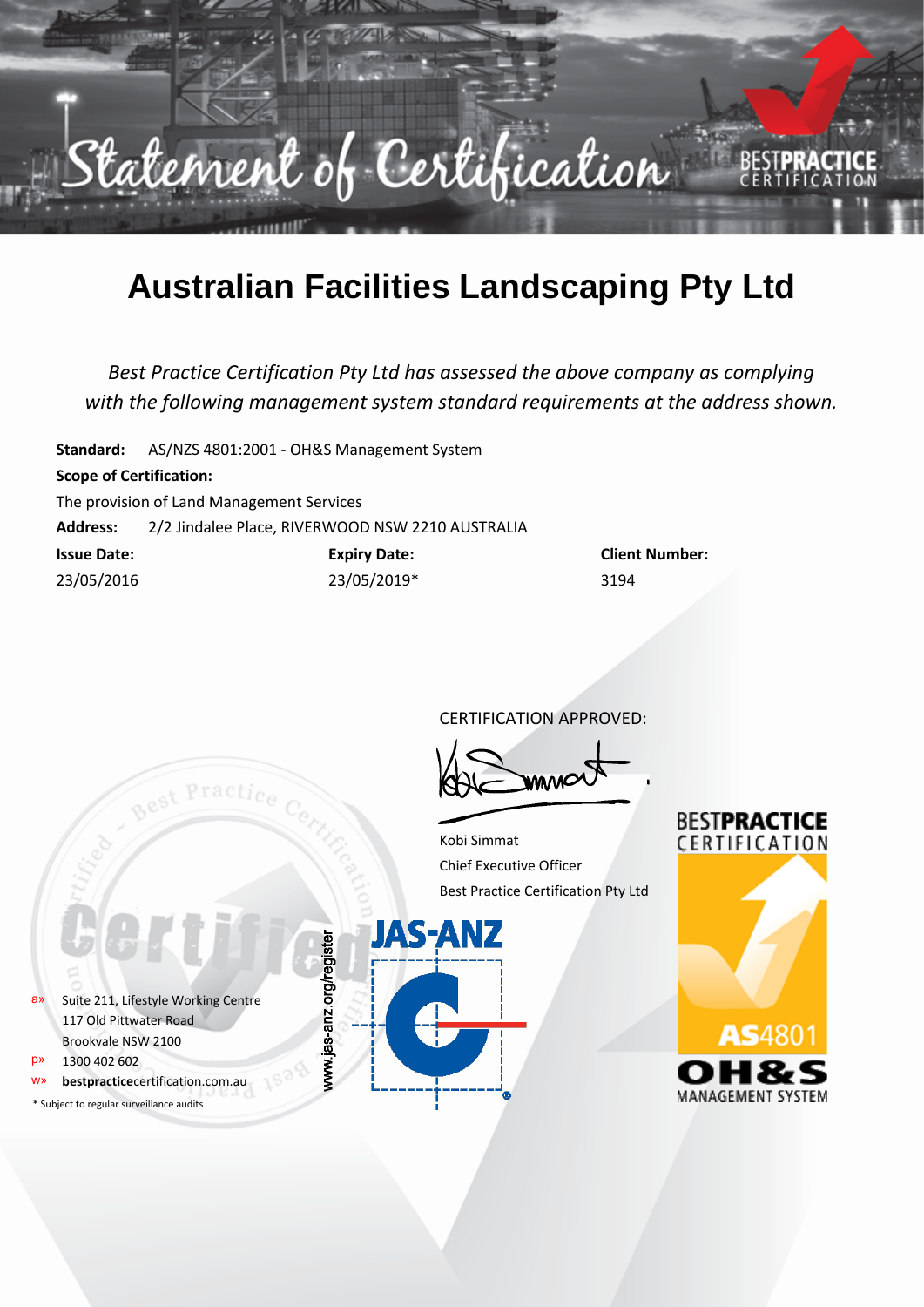

## **Australian Facilities Landscaping Pty Ltd**

*Best Practice Certification Pty Ltd has assessed the above company as complying with the following management system standard requirements at the address shown.*

**Standard:** AS/NZS 4801:2001 - OH&S Management System

## **Scope of Certification:**

The provision of Land Management Services

**Address:** 2/2 Jindalee Place, RIVERWOOD NSW 2210 AUSTRALIA

| <b>Issue Date:</b> | <b>Expiry Date:</b> | <b>Client Number:</b> |
|--------------------|---------------------|-----------------------|
| 23/05/2016         | 23/05/2019*         | 3194                  |

Practic

CERTIFICATION APPROVED:

Kobi Simmat Chief Executive Officer Best Practice Certification Pty Ltd



\* Subject to regular surveillance audits



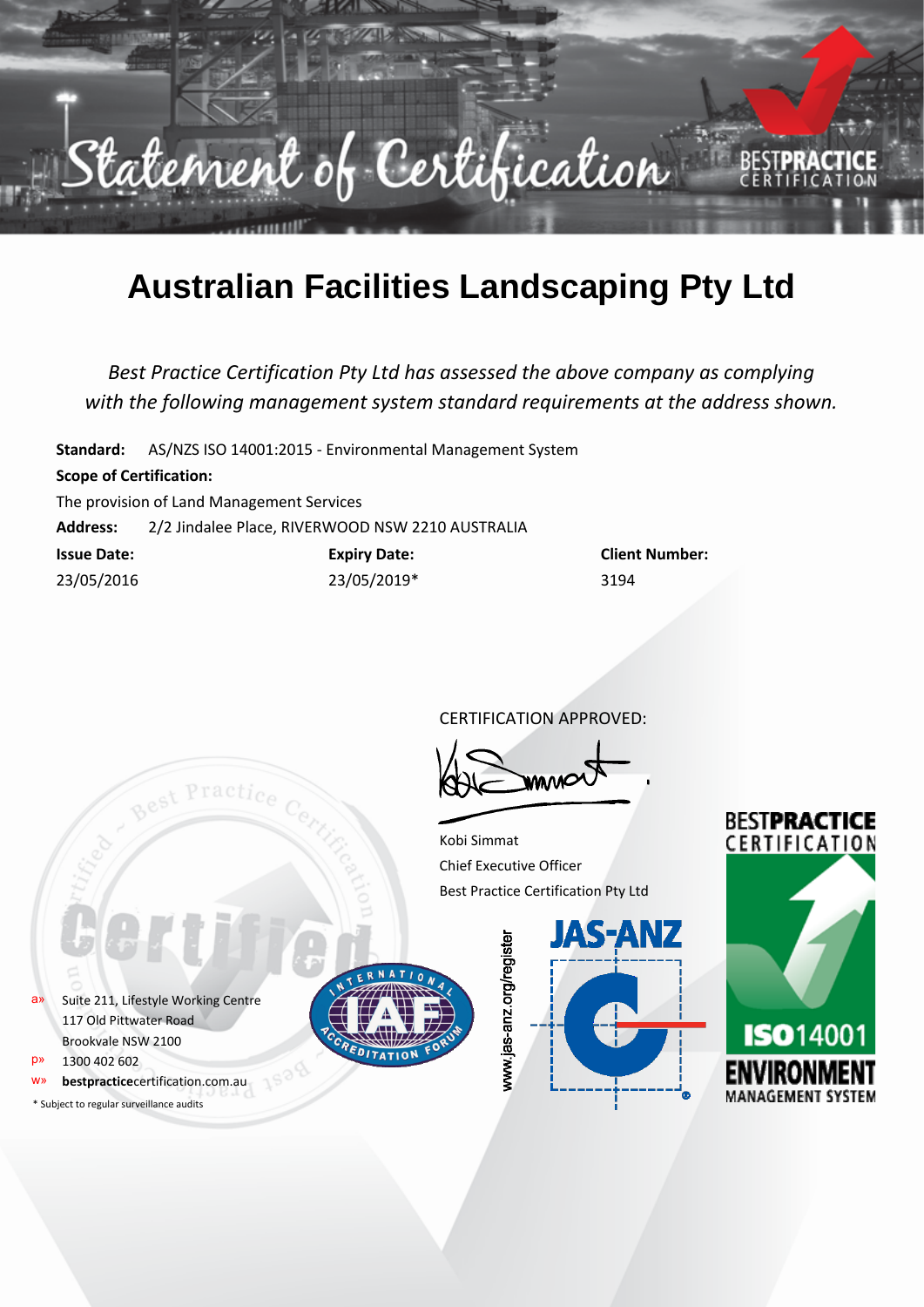

## **Australian Facilities Landscaping Pty Ltd**

*Best Practice Certification Pty Ltd has assessed the above company as complying with the following management system standard requirements at the address shown.*

**Standard:** AS/NZS ISO 14001:2015 - Environmental Management System **Scope of Certification:** The provision of Land Management Services **Address:** 2/2 Jindalee Place, RIVERWOOD NSW 2210 AUSTRALIA **Issue Date: Expiry Date: Client Number:** 23/05/2016 23/05/2019\* 3194

CERTIFICATION APPROVED:

Kobi Simmat Chief Executive Officer Best Practice Certification Pty Ltd

a» Suite 211, Lifestyle Working Centre 117 Old Pittwater Road Brookvale NSW 2100

p» 1300 402 602

bestpracticecertification.com.au

\* Subject to regular surveillance audits